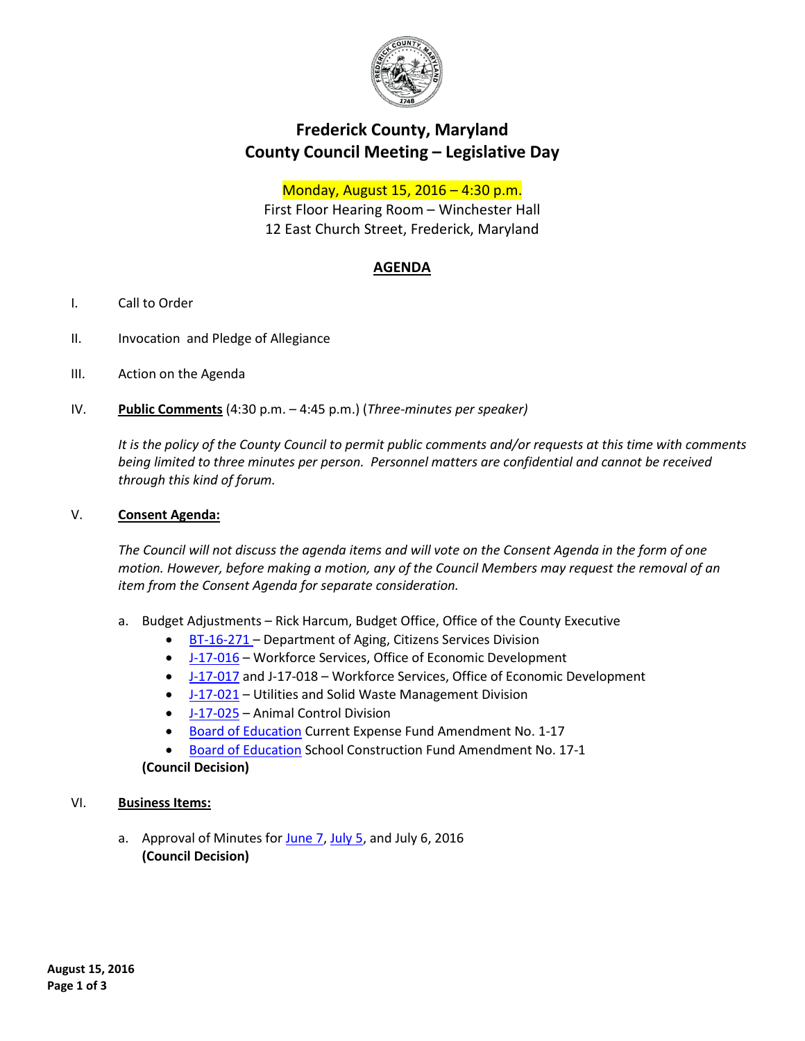

# **Frederick County, Maryland County Council Meeting – Legislative Day**

## Monday, August 15, 2016 – 4:30 p.m.

First Floor Hearing Room – Winchester Hall 12 East Church Street, Frederick, Maryland

## **AGENDA**

- I. Call to Order
- II. Invocation and Pledge of Allegiance
- III. Action on the Agenda
- IV. **Public Comments** (4:30 p.m. 4:45 p.m.) (*Three-minutes per speaker)*

*It is the policy of the County Council to permit public comments and/or requests at this time with comments being limited to three minutes per person. Personnel matters are confidential and cannot be received through this kind of forum.*

#### V. **Consent Agenda:**

*The Council will not discuss the agenda items and will vote on the Consent Agenda in the form of one motion. However, before making a motion, any of the Council Members may request the removal of an item from the Consent Agenda for separate consideration.*

- a. Budget Adjustments Rick Harcum, Budget Office, Office of the County Executive
	- [BT-16-271 –](https://www.frederickcountymd.gov/DocumentCenter/View/291583) Department of Aging, Citizens Services Division
	- [J-17-016](https://www.frederickcountymd.gov/DocumentCenter/View/291586) Workforce Services, Office of Economic Development
	- [J-17-017](https://www.frederickcountymd.gov/DocumentCenter/View/291587) and J-17-018 Workforce Services, Office of Economic Development
	- [J-17-021](https://www.frederickcountymd.gov/DocumentCenter/View/291588) Utilities and Solid Waste Management Division
	- [J-17-025](https://www.frederickcountymd.gov/DocumentCenter/View/291589) Animal Control Division
	- [Board of Education](https://www.frederickcountymd.gov/DocumentCenter/View/291582) Current Expense Fund Amendment No. 1-17
	- [Board of Education](https://www.frederickcountymd.gov/DocumentCenter/View/291596) School Construction Fund Amendment No. 17-1 **(Council Decision)**

#### VI. **Business Items:**

a. Approval of Minutes for [June 7,](https://www.frederickcountymd.gov/DocumentCenter/View/291597) [July 5,](https://www.frederickcountymd.gov/DocumentCenter/View/291598) and July 6, 2016 **(Council Decision)**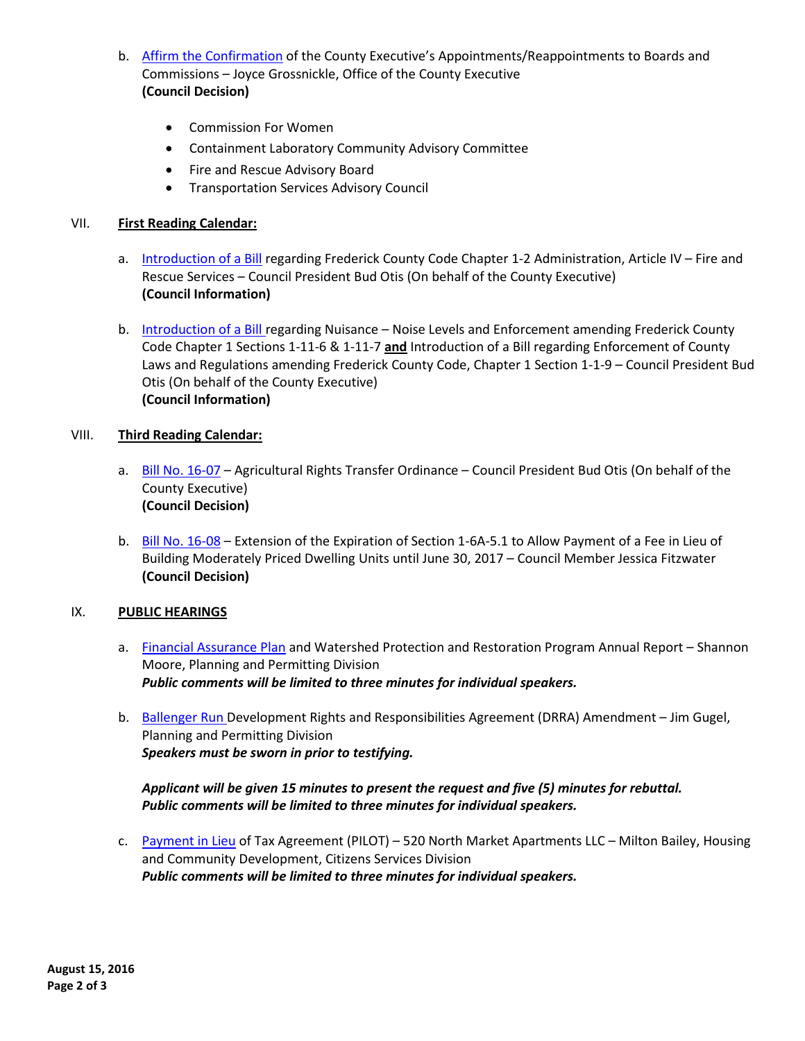- b. [Affirm the Confirmation](https://www.frederickcountymd.gov/DocumentCenter/View/291578) of the County Executive's Appointments/Reappointments to Boards and Commissions – Joyce Grossnickle, Office of the County Executive **(Council Decision)**
	- Commission For Women
	- Containment Laboratory Community Advisory Committee
	- Fire and Rescue Advisory Board
	- Transportation Services Advisory Council

### VII. **First Reading Calendar:**

- a. [Introduction of a Bill](https://www.frederickcountymd.gov/DocumentCenter/View/291585) regarding Frederick County Code Chapter 1-2 Administration, Article IV Fire and Rescue Services – Council President Bud Otis (On behalf of the County Executive) **(Council Information)**
- b. [Introduction of a Bill r](https://www.frederickcountymd.gov/DocumentCenter/View/291590)egarding Nuisance Noise Levels and Enforcement amending Frederick County Code Chapter 1 Sections 1-11-6 & 1-11-7 **and** Introduction of a Bill regarding Enforcement of County Laws and Regulations amending Frederick County Code, Chapter 1 Section 1-1-9 – Council President Bud Otis (On behalf of the County Executive) **(Council Information)**

### VIII. **Third Reading Calendar:**

- a. [Bill No. 16-07](https://www.frederickcountymd.gov/DocumentCenter/View/291580) Agricultural Rights Transfer Ordinance Council President Bud Otis (On behalf of the County Executive) **(Council Decision)**
- b. [Bill No. 16-08](https://www.frederickcountymd.gov/DocumentCenter/View/291581) Extension of the Expiration of Section 1-6A-5.1 to Allow Payment of a Fee in Lieu of Building Moderately Priced Dwelling Units until June 30, 2017 – Council Member Jessica Fitzwater **(Council Decision)**

### IX. **PUBLIC HEARINGS**

- a. Financial [Assurance Plan](https://www.frederickcountymd.gov/DocumentCenter/View/291584) and Watershed Protection and Restoration Program Annual Report Shannon Moore, Planning and Permitting Division *Public comments will be limited to three minutes for individual speakers.*
- b. [Ballenger Run D](https://www.frederickcountymd.gov/DocumentCenter/View/291579)evelopment Rights and Responsibilities Agreement (DRRA) Amendment Jim Gugel, Planning and Permitting Division *Speakers must be sworn in prior to testifying.*

### *Applicant will be given 15 minutes to present the request and five (5) minutes for rebuttal. Public comments will be limited to three minutes for individual speakers.*

c. [Payment](https://www.frederickcountymd.gov/DocumentCenter/View/291591) in Lieu of Tax Agreement (PILOT) – 520 North Market Apartments LLC – Milton Bailey, Housing and Community Development, Citizens Services Division *Public comments will be limited to three minutes for individual speakers.*